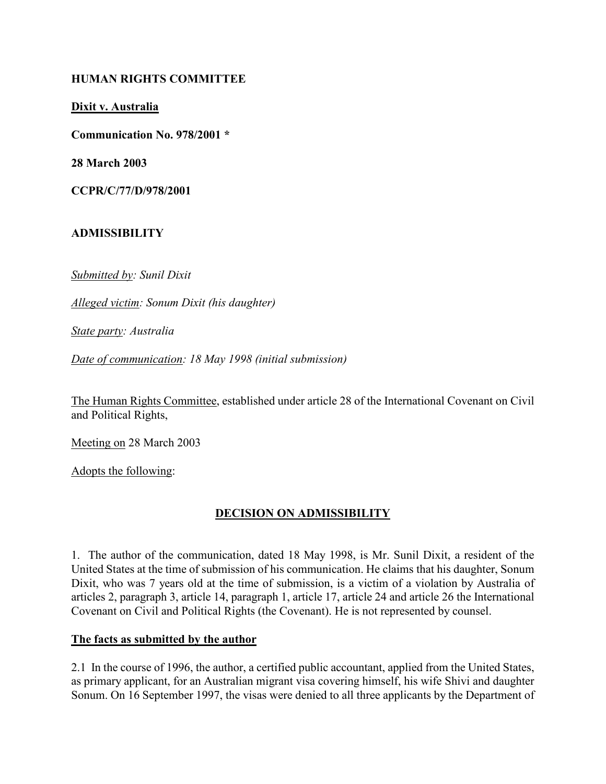#### HUMAN RIGHTS COMMITTEE

Dixit v. Australia

Communication No. 978/2001 \*

28 March 2003

CCPR/C/77/D/978/2001

## ADMISSIBILITY

Submitted by: Sunil Dixit

Alleged victim: Sonum Dixit (his daughter)

State party: Australia

Date of communication: 18 May 1998 (initial submission)

The Human Rights Committee, established under article 28 of the International Covenant on Civil and Political Rights,

Meeting on 28 March 2003

Adopts the following:

# DECISION ON ADMISSIBILITY

1. The author of the communication, dated 18 May 1998, is Mr. Sunil Dixit, a resident of the United States at the time of submission of his communication. He claims that his daughter, Sonum Dixit, who was 7 years old at the time of submission, is a victim of a violation by Australia of articles 2, paragraph 3, article 14, paragraph 1, article 17, article 24 and article 26 the International Covenant on Civil and Political Rights (the Covenant). He is not represented by counsel.

#### The facts as submitted by the author

2.1 In the course of 1996, the author, a certified public accountant, applied from the United States, as primary applicant, for an Australian migrant visa covering himself, his wife Shivi and daughter Sonum. On 16 September 1997, the visas were denied to all three applicants by the Department of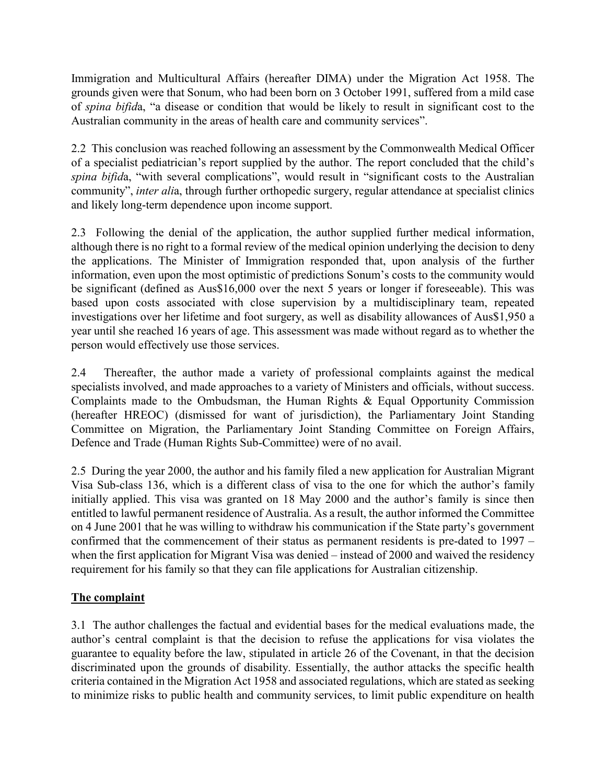Immigration and Multicultural Affairs (hereafter DIMA) under the Migration Act 1958. The grounds given were that Sonum, who had been born on 3 October 1991, suffered from a mild case of spina bifida, "a disease or condition that would be likely to result in significant cost to the Australian community in the areas of health care and community services".

2.2 This conclusion was reached following an assessment by the Commonwealth Medical Officer of a specialist pediatrician's report supplied by the author. The report concluded that the child's spina bifida, "with several complications", would result in "significant costs to the Australian community", inter alia, through further orthopedic surgery, regular attendance at specialist clinics and likely long-term dependence upon income support.

2.3 Following the denial of the application, the author supplied further medical information, although there is no right to a formal review of the medical opinion underlying the decision to deny the applications. The Minister of Immigration responded that, upon analysis of the further information, even upon the most optimistic of predictions Sonum's costs to the community would be significant (defined as Aus\$16,000 over the next 5 years or longer if foreseeable). This was based upon costs associated with close supervision by a multidisciplinary team, repeated investigations over her lifetime and foot surgery, as well as disability allowances of Aus\$1,950 a year until she reached 16 years of age. This assessment was made without regard as to whether the person would effectively use those services.

2.4 Thereafter, the author made a variety of professional complaints against the medical specialists involved, and made approaches to a variety of Ministers and officials, without success. Complaints made to the Ombudsman, the Human Rights & Equal Opportunity Commission (hereafter HREOC) (dismissed for want of jurisdiction), the Parliamentary Joint Standing Committee on Migration, the Parliamentary Joint Standing Committee on Foreign Affairs, Defence and Trade (Human Rights Sub-Committee) were of no avail.

2.5 During the year 2000, the author and his family filed a new application for Australian Migrant Visa Sub-class 136, which is a different class of visa to the one for which the author's family initially applied. This visa was granted on 18 May 2000 and the author's family is since then entitled to lawful permanent residence of Australia. As a result, the author informed the Committee on 4 June 2001 that he was willing to withdraw his communication if the State party's government confirmed that the commencement of their status as permanent residents is pre-dated to 1997 – when the first application for Migrant Visa was denied – instead of 2000 and waived the residency requirement for his family so that they can file applications for Australian citizenship.

# The complaint

3.1 The author challenges the factual and evidential bases for the medical evaluations made, the author's central complaint is that the decision to refuse the applications for visa violates the guarantee to equality before the law, stipulated in article 26 of the Covenant, in that the decision discriminated upon the grounds of disability. Essentially, the author attacks the specific health criteria contained in the Migration Act 1958 and associated regulations, which are stated as seeking to minimize risks to public health and community services, to limit public expenditure on health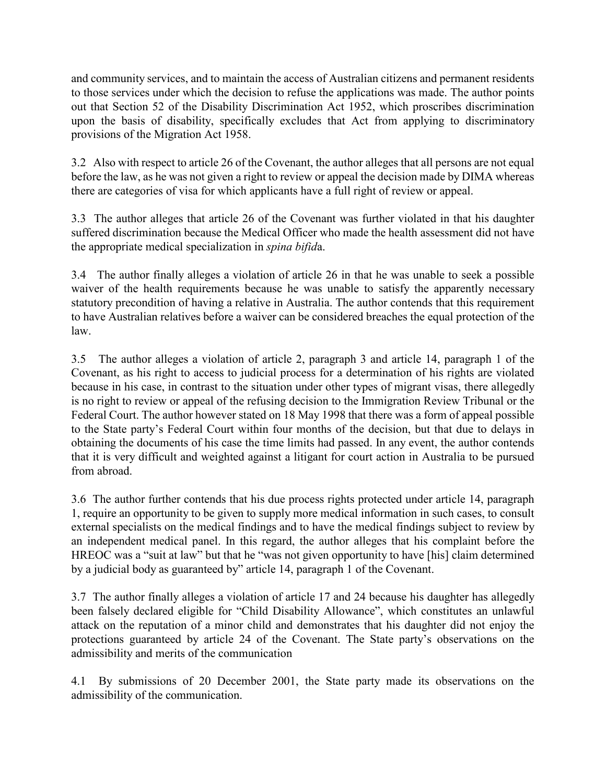and community services, and to maintain the access of Australian citizens and permanent residents to those services under which the decision to refuse the applications was made. The author points out that Section 52 of the Disability Discrimination Act 1952, which proscribes discrimination upon the basis of disability, specifically excludes that Act from applying to discriminatory provisions of the Migration Act 1958.

3.2 Also with respect to article 26 of the Covenant, the author alleges that all persons are not equal before the law, as he was not given a right to review or appeal the decision made by DIMA whereas there are categories of visa for which applicants have a full right of review or appeal.

3.3 The author alleges that article 26 of the Covenant was further violated in that his daughter suffered discrimination because the Medical Officer who made the health assessment did not have the appropriate medical specialization in spina bifida.

3.4 The author finally alleges a violation of article 26 in that he was unable to seek a possible waiver of the health requirements because he was unable to satisfy the apparently necessary statutory precondition of having a relative in Australia. The author contends that this requirement to have Australian relatives before a waiver can be considered breaches the equal protection of the law.

3.5 The author alleges a violation of article 2, paragraph 3 and article 14, paragraph 1 of the Covenant, as his right to access to judicial process for a determination of his rights are violated because in his case, in contrast to the situation under other types of migrant visas, there allegedly is no right to review or appeal of the refusing decision to the Immigration Review Tribunal or the Federal Court. The author however stated on 18 May 1998 that there was a form of appeal possible to the State party's Federal Court within four months of the decision, but that due to delays in obtaining the documents of his case the time limits had passed. In any event, the author contends that it is very difficult and weighted against a litigant for court action in Australia to be pursued from abroad.

3.6 The author further contends that his due process rights protected under article 14, paragraph 1, require an opportunity to be given to supply more medical information in such cases, to consult external specialists on the medical findings and to have the medical findings subject to review by an independent medical panel. In this regard, the author alleges that his complaint before the HREOC was a "suit at law" but that he "was not given opportunity to have [his] claim determined by a judicial body as guaranteed by" article 14, paragraph 1 of the Covenant.

3.7 The author finally alleges a violation of article 17 and 24 because his daughter has allegedly been falsely declared eligible for "Child Disability Allowance", which constitutes an unlawful attack on the reputation of a minor child and demonstrates that his daughter did not enjoy the protections guaranteed by article 24 of the Covenant. The State party's observations on the admissibility and merits of the communication

4.1 By submissions of 20 December 2001, the State party made its observations on the admissibility of the communication.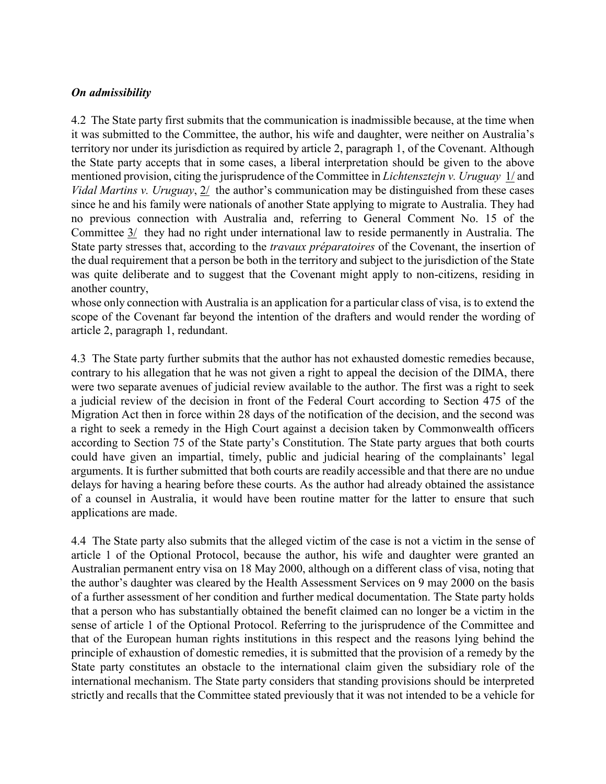#### On admissibility

4.2 The State party first submits that the communication is inadmissible because, at the time when it was submitted to the Committee, the author, his wife and daughter, were neither on Australia's territory nor under its jurisdiction as required by article 2, paragraph 1, of the Covenant. Although the State party accepts that in some cases, a liberal interpretation should be given to the above mentioned provision, citing the jurisprudence of the Committee in Lichtensztejn v. Uruguay 1/ and Vidal Martins v. Uruguay,  $2/$  the author's communication may be distinguished from these cases since he and his family were nationals of another State applying to migrate to Australia. They had no previous connection with Australia and, referring to General Comment No. 15 of the Committee 3/ they had no right under international law to reside permanently in Australia. The State party stresses that, according to the *travaux préparatoires* of the Covenant, the insertion of the dual requirement that a person be both in the territory and subject to the jurisdiction of the State was quite deliberate and to suggest that the Covenant might apply to non-citizens, residing in another country,

whose only connection with Australia is an application for a particular class of visa, is to extend the scope of the Covenant far beyond the intention of the drafters and would render the wording of article 2, paragraph 1, redundant.

4.3 The State party further submits that the author has not exhausted domestic remedies because, contrary to his allegation that he was not given a right to appeal the decision of the DIMA, there were two separate avenues of judicial review available to the author. The first was a right to seek a judicial review of the decision in front of the Federal Court according to Section 475 of the Migration Act then in force within 28 days of the notification of the decision, and the second was a right to seek a remedy in the High Court against a decision taken by Commonwealth officers according to Section 75 of the State party's Constitution. The State party argues that both courts could have given an impartial, timely, public and judicial hearing of the complainants' legal arguments. It is further submitted that both courts are readily accessible and that there are no undue delays for having a hearing before these courts. As the author had already obtained the assistance of a counsel in Australia, it would have been routine matter for the latter to ensure that such applications are made.

4.4 The State party also submits that the alleged victim of the case is not a victim in the sense of article 1 of the Optional Protocol, because the author, his wife and daughter were granted an Australian permanent entry visa on 18 May 2000, although on a different class of visa, noting that the author's daughter was cleared by the Health Assessment Services on 9 may 2000 on the basis of a further assessment of her condition and further medical documentation. The State party holds that a person who has substantially obtained the benefit claimed can no longer be a victim in the sense of article 1 of the Optional Protocol. Referring to the jurisprudence of the Committee and that of the European human rights institutions in this respect and the reasons lying behind the principle of exhaustion of domestic remedies, it is submitted that the provision of a remedy by the State party constitutes an obstacle to the international claim given the subsidiary role of the international mechanism. The State party considers that standing provisions should be interpreted strictly and recalls that the Committee stated previously that it was not intended to be a vehicle for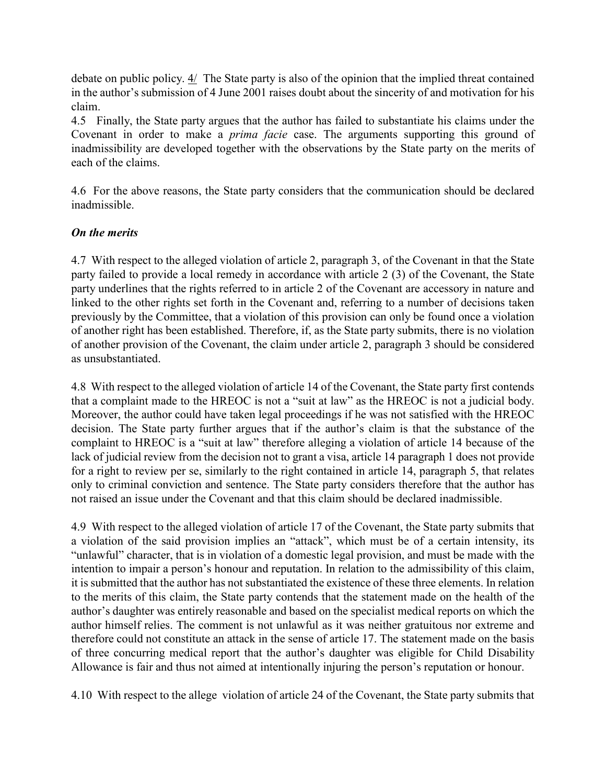debate on public policy.  $4/$  The State party is also of the opinion that the implied threat contained in the author's submission of 4 June 2001 raises doubt about the sincerity of and motivation for his claim.

4.5 Finally, the State party argues that the author has failed to substantiate his claims under the Covenant in order to make a prima facie case. The arguments supporting this ground of inadmissibility are developed together with the observations by the State party on the merits of each of the claims.

4.6 For the above reasons, the State party considers that the communication should be declared inadmissible.

#### On the merits

4.7 With respect to the alleged violation of article 2, paragraph 3, of the Covenant in that the State party failed to provide a local remedy in accordance with article 2 (3) of the Covenant, the State party underlines that the rights referred to in article 2 of the Covenant are accessory in nature and linked to the other rights set forth in the Covenant and, referring to a number of decisions taken previously by the Committee, that a violation of this provision can only be found once a violation of another right has been established. Therefore, if, as the State party submits, there is no violation of another provision of the Covenant, the claim under article 2, paragraph 3 should be considered as unsubstantiated.

4.8 With respect to the alleged violation of article 14 of the Covenant, the State party first contends that a complaint made to the HREOC is not a "suit at law" as the HREOC is not a judicial body. Moreover, the author could have taken legal proceedings if he was not satisfied with the HREOC decision. The State party further argues that if the author's claim is that the substance of the complaint to HREOC is a "suit at law" therefore alleging a violation of article 14 because of the lack of judicial review from the decision not to grant a visa, article 14 paragraph 1 does not provide for a right to review per se, similarly to the right contained in article 14, paragraph 5, that relates only to criminal conviction and sentence. The State party considers therefore that the author has not raised an issue under the Covenant and that this claim should be declared inadmissible.

4.9 With respect to the alleged violation of article 17 of the Covenant, the State party submits that a violation of the said provision implies an "attack", which must be of a certain intensity, its "unlawful" character, that is in violation of a domestic legal provision, and must be made with the intention to impair a person's honour and reputation. In relation to the admissibility of this claim, it is submitted that the author has not substantiated the existence of these three elements. In relation to the merits of this claim, the State party contends that the statement made on the health of the author's daughter was entirely reasonable and based on the specialist medical reports on which the author himself relies. The comment is not unlawful as it was neither gratuitous nor extreme and therefore could not constitute an attack in the sense of article 17. The statement made on the basis of three concurring medical report that the author's daughter was eligible for Child Disability Allowance is fair and thus not aimed at intentionally injuring the person's reputation or honour.

4.10 With respect to the allege violation of article 24 of the Covenant, the State party submits that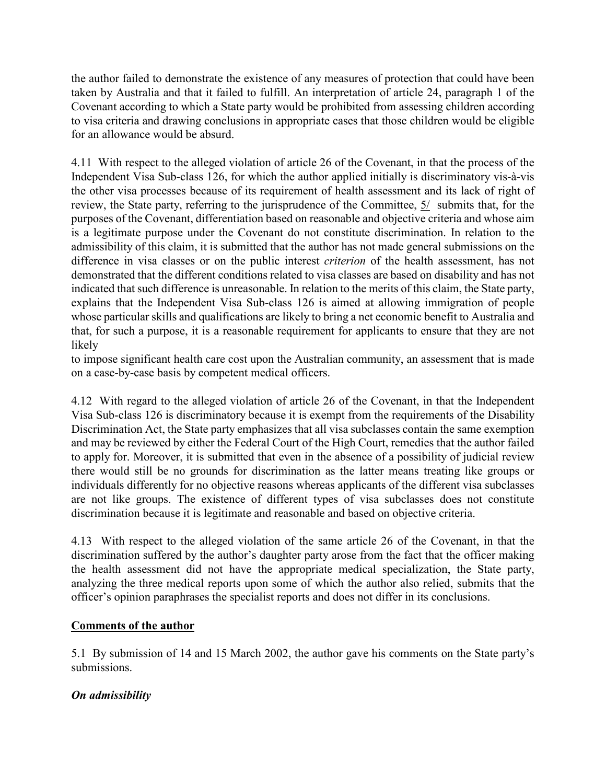the author failed to demonstrate the existence of any measures of protection that could have been taken by Australia and that it failed to fulfill. An interpretation of article 24, paragraph 1 of the Covenant according to which a State party would be prohibited from assessing children according to visa criteria and drawing conclusions in appropriate cases that those children would be eligible for an allowance would be absurd.

4.11 With respect to the alleged violation of article 26 of the Covenant, in that the process of the Independent Visa Sub-class 126, for which the author applied initially is discriminatory vis-à-vis the other visa processes because of its requirement of health assessment and its lack of right of review, the State party, referring to the jurisprudence of the Committee, 5/ submits that, for the purposes of the Covenant, differentiation based on reasonable and objective criteria and whose aim is a legitimate purpose under the Covenant do not constitute discrimination. In relation to the admissibility of this claim, it is submitted that the author has not made general submissions on the difference in visa classes or on the public interest criterion of the health assessment, has not demonstrated that the different conditions related to visa classes are based on disability and has not indicated that such difference is unreasonable. In relation to the merits of this claim, the State party, explains that the Independent Visa Sub-class 126 is aimed at allowing immigration of people whose particular skills and qualifications are likely to bring a net economic benefit to Australia and that, for such a purpose, it is a reasonable requirement for applicants to ensure that they are not likely

to impose significant health care cost upon the Australian community, an assessment that is made on a case-by-case basis by competent medical officers.

4.12 With regard to the alleged violation of article 26 of the Covenant, in that the Independent Visa Sub-class 126 is discriminatory because it is exempt from the requirements of the Disability Discrimination Act, the State party emphasizes that all visa subclasses contain the same exemption and may be reviewed by either the Federal Court of the High Court, remedies that the author failed to apply for. Moreover, it is submitted that even in the absence of a possibility of judicial review there would still be no grounds for discrimination as the latter means treating like groups or individuals differently for no objective reasons whereas applicants of the different visa subclasses are not like groups. The existence of different types of visa subclasses does not constitute discrimination because it is legitimate and reasonable and based on objective criteria.

4.13 With respect to the alleged violation of the same article 26 of the Covenant, in that the discrimination suffered by the author's daughter party arose from the fact that the officer making the health assessment did not have the appropriate medical specialization, the State party, analyzing the three medical reports upon some of which the author also relied, submits that the officer's opinion paraphrases the specialist reports and does not differ in its conclusions.

#### Comments of the author

5.1 By submission of 14 and 15 March 2002, the author gave his comments on the State party's submissions.

# On admissibility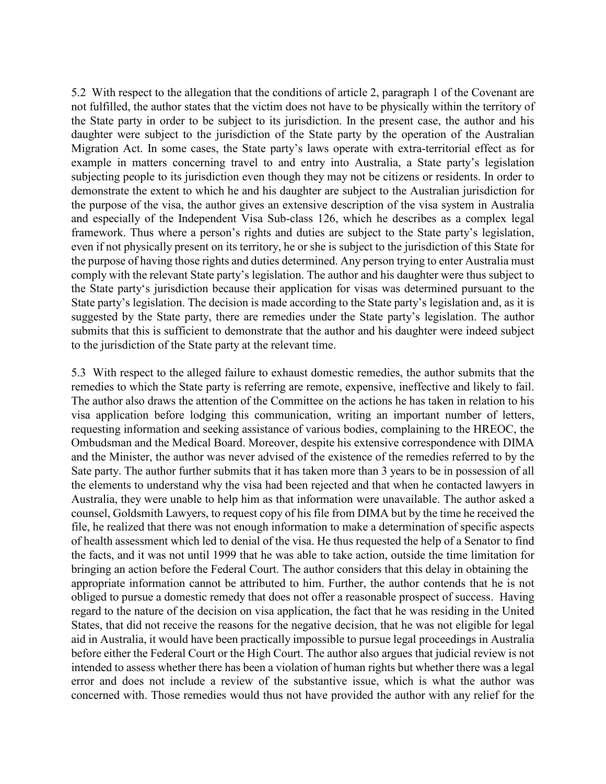5.2 With respect to the allegation that the conditions of article 2, paragraph 1 of the Covenant are not fulfilled, the author states that the victim does not have to be physically within the territory of the State party in order to be subject to its jurisdiction. In the present case, the author and his daughter were subject to the jurisdiction of the State party by the operation of the Australian Migration Act. In some cases, the State party's laws operate with extra-territorial effect as for example in matters concerning travel to and entry into Australia, a State party's legislation subjecting people to its jurisdiction even though they may not be citizens or residents. In order to demonstrate the extent to which he and his daughter are subject to the Australian jurisdiction for the purpose of the visa, the author gives an extensive description of the visa system in Australia and especially of the Independent Visa Sub-class 126, which he describes as a complex legal framework. Thus where a person's rights and duties are subject to the State party's legislation, even if not physically present on its territory, he or she is subject to the jurisdiction of this State for the purpose of having those rights and duties determined. Any person trying to enter Australia must comply with the relevant State party's legislation. The author and his daughter were thus subject to the State party's jurisdiction because their application for visas was determined pursuant to the State party's legislation. The decision is made according to the State party's legislation and, as it is suggested by the State party, there are remedies under the State party's legislation. The author submits that this is sufficient to demonstrate that the author and his daughter were indeed subject to the jurisdiction of the State party at the relevant time.

5.3 With respect to the alleged failure to exhaust domestic remedies, the author submits that the remedies to which the State party is referring are remote, expensive, ineffective and likely to fail. The author also draws the attention of the Committee on the actions he has taken in relation to his visa application before lodging this communication, writing an important number of letters, requesting information and seeking assistance of various bodies, complaining to the HREOC, the Ombudsman and the Medical Board. Moreover, despite his extensive correspondence with DIMA and the Minister, the author was never advised of the existence of the remedies referred to by the Sate party. The author further submits that it has taken more than 3 years to be in possession of all the elements to understand why the visa had been rejected and that when he contacted lawyers in Australia, they were unable to help him as that information were unavailable. The author asked a counsel, Goldsmith Lawyers, to request copy of his file from DIMA but by the time he received the file, he realized that there was not enough information to make a determination of specific aspects of health assessment which led to denial of the visa. He thus requested the help of a Senator to find the facts, and it was not until 1999 that he was able to take action, outside the time limitation for bringing an action before the Federal Court. The author considers that this delay in obtaining the appropriate information cannot be attributed to him. Further, the author contends that he is not obliged to pursue a domestic remedy that does not offer a reasonable prospect of success. Having regard to the nature of the decision on visa application, the fact that he was residing in the United States, that did not receive the reasons for the negative decision, that he was not eligible for legal aid in Australia, it would have been practically impossible to pursue legal proceedings in Australia before either the Federal Court or the High Court. The author also argues that judicial review is not intended to assess whether there has been a violation of human rights but whether there was a legal error and does not include a review of the substantive issue, which is what the author was concerned with. Those remedies would thus not have provided the author with any relief for the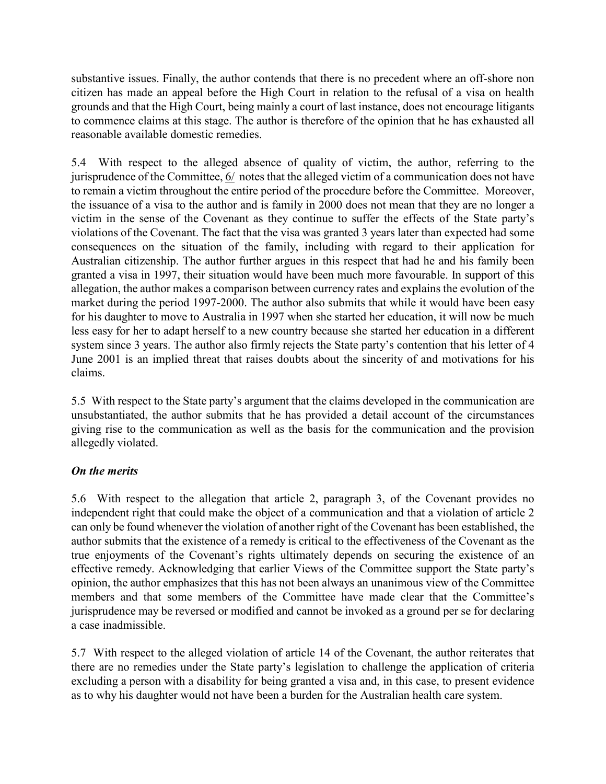substantive issues. Finally, the author contends that there is no precedent where an off-shore non citizen has made an appeal before the High Court in relation to the refusal of a visa on health grounds and that the High Court, being mainly a court of last instance, does not encourage litigants to commence claims at this stage. The author is therefore of the opinion that he has exhausted all reasonable available domestic remedies.

5.4 With respect to the alleged absence of quality of victim, the author, referring to the jurisprudence of the Committee, 6/ notes that the alleged victim of a communication does not have to remain a victim throughout the entire period of the procedure before the Committee. Moreover, the issuance of a visa to the author and is family in 2000 does not mean that they are no longer a victim in the sense of the Covenant as they continue to suffer the effects of the State party's violations of the Covenant. The fact that the visa was granted 3 years later than expected had some consequences on the situation of the family, including with regard to their application for Australian citizenship. The author further argues in this respect that had he and his family been granted a visa in 1997, their situation would have been much more favourable. In support of this allegation, the author makes a comparison between currency rates and explains the evolution of the market during the period 1997-2000. The author also submits that while it would have been easy for his daughter to move to Australia in 1997 when she started her education, it will now be much less easy for her to adapt herself to a new country because she started her education in a different system since 3 years. The author also firmly rejects the State party's contention that his letter of 4 June 2001 is an implied threat that raises doubts about the sincerity of and motivations for his claims.

5.5 With respect to the State party's argument that the claims developed in the communication are unsubstantiated, the author submits that he has provided a detail account of the circumstances giving rise to the communication as well as the basis for the communication and the provision allegedly violated.

#### On the merits

5.6 With respect to the allegation that article 2, paragraph 3, of the Covenant provides no independent right that could make the object of a communication and that a violation of article 2 can only be found whenever the violation of another right of the Covenant has been established, the author submits that the existence of a remedy is critical to the effectiveness of the Covenant as the true enjoyments of the Covenant's rights ultimately depends on securing the existence of an effective remedy. Acknowledging that earlier Views of the Committee support the State party's opinion, the author emphasizes that this has not been always an unanimous view of the Committee members and that some members of the Committee have made clear that the Committee's jurisprudence may be reversed or modified and cannot be invoked as a ground per se for declaring a case inadmissible.

5.7 With respect to the alleged violation of article 14 of the Covenant, the author reiterates that there are no remedies under the State party's legislation to challenge the application of criteria excluding a person with a disability for being granted a visa and, in this case, to present evidence as to why his daughter would not have been a burden for the Australian health care system.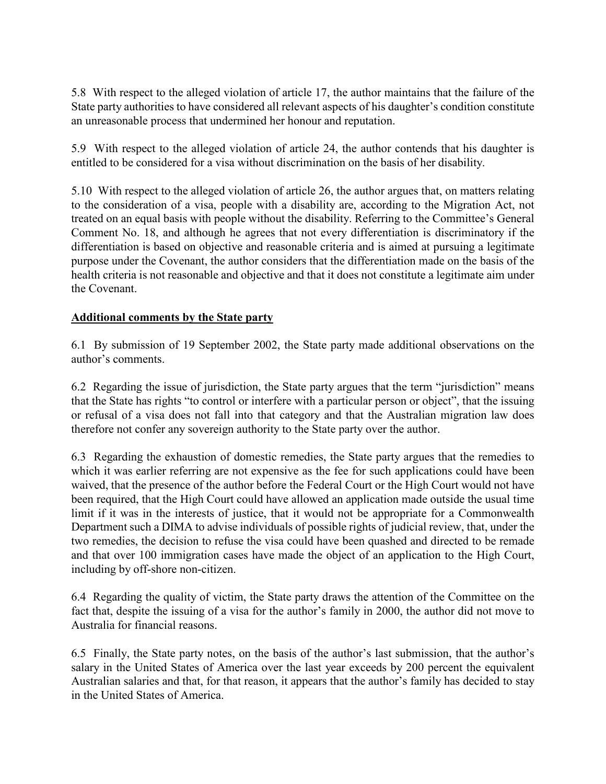5.8 With respect to the alleged violation of article 17, the author maintains that the failure of the State party authorities to have considered all relevant aspects of his daughter's condition constitute an unreasonable process that undermined her honour and reputation.

5.9 With respect to the alleged violation of article 24, the author contends that his daughter is entitled to be considered for a visa without discrimination on the basis of her disability.

5.10 With respect to the alleged violation of article 26, the author argues that, on matters relating to the consideration of a visa, people with a disability are, according to the Migration Act, not treated on an equal basis with people without the disability. Referring to the Committee's General Comment No. 18, and although he agrees that not every differentiation is discriminatory if the differentiation is based on objective and reasonable criteria and is aimed at pursuing a legitimate purpose under the Covenant, the author considers that the differentiation made on the basis of the health criteria is not reasonable and objective and that it does not constitute a legitimate aim under the Covenant.

## Additional comments by the State party

6.1 By submission of 19 September 2002, the State party made additional observations on the author's comments.

6.2 Regarding the issue of jurisdiction, the State party argues that the term "jurisdiction" means that the State has rights "to control or interfere with a particular person or object", that the issuing or refusal of a visa does not fall into that category and that the Australian migration law does therefore not confer any sovereign authority to the State party over the author.

6.3 Regarding the exhaustion of domestic remedies, the State party argues that the remedies to which it was earlier referring are not expensive as the fee for such applications could have been waived, that the presence of the author before the Federal Court or the High Court would not have been required, that the High Court could have allowed an application made outside the usual time limit if it was in the interests of justice, that it would not be appropriate for a Commonwealth Department such a DIMA to advise individuals of possible rights of judicial review, that, under the two remedies, the decision to refuse the visa could have been quashed and directed to be remade and that over 100 immigration cases have made the object of an application to the High Court, including by off-shore non-citizen.

6.4 Regarding the quality of victim, the State party draws the attention of the Committee on the fact that, despite the issuing of a visa for the author's family in 2000, the author did not move to Australia for financial reasons.

6.5 Finally, the State party notes, on the basis of the author's last submission, that the author's salary in the United States of America over the last year exceeds by 200 percent the equivalent Australian salaries and that, for that reason, it appears that the author's family has decided to stay in the United States of America.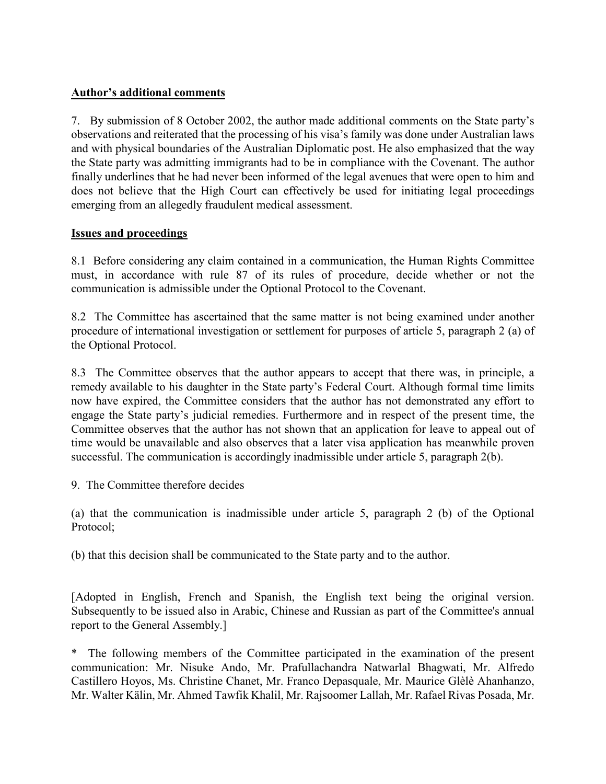#### Author's additional comments

7. By submission of 8 October 2002, the author made additional comments on the State party's observations and reiterated that the processing of his visa's family was done under Australian laws and with physical boundaries of the Australian Diplomatic post. He also emphasized that the way the State party was admitting immigrants had to be in compliance with the Covenant. The author finally underlines that he had never been informed of the legal avenues that were open to him and does not believe that the High Court can effectively be used for initiating legal proceedings emerging from an allegedly fraudulent medical assessment.

## Issues and proceedings

8.1 Before considering any claim contained in a communication, the Human Rights Committee must, in accordance with rule 87 of its rules of procedure, decide whether or not the communication is admissible under the Optional Protocol to the Covenant.

8.2 The Committee has ascertained that the same matter is not being examined under another procedure of international investigation or settlement for purposes of article 5, paragraph 2 (a) of the Optional Protocol.

8.3 The Committee observes that the author appears to accept that there was, in principle, a remedy available to his daughter in the State party's Federal Court. Although formal time limits now have expired, the Committee considers that the author has not demonstrated any effort to engage the State party's judicial remedies. Furthermore and in respect of the present time, the Committee observes that the author has not shown that an application for leave to appeal out of time would be unavailable and also observes that a later visa application has meanwhile proven successful. The communication is accordingly inadmissible under article 5, paragraph 2(b).

9. The Committee therefore decides

(a) that the communication is inadmissible under article 5, paragraph 2 (b) of the Optional Protocol;

(b) that this decision shall be communicated to the State party and to the author.

[Adopted in English, French and Spanish, the English text being the original version. Subsequently to be issued also in Arabic, Chinese and Russian as part of the Committee's annual report to the General Assembly.]

The following members of the Committee participated in the examination of the present communication: Mr. Nisuke Ando, Mr. Prafullachandra Natwarlal Bhagwati, Mr. Alfredo Castillero Hoyos, Ms. Christine Chanet, Mr. Franco Depasquale, Mr. Maurice Glèlè Ahanhanzo, Mr. Walter Kälin, Mr. Ahmed Tawfik Khalil, Mr. Rajsoomer Lallah, Mr. Rafael Rivas Posada, Mr.